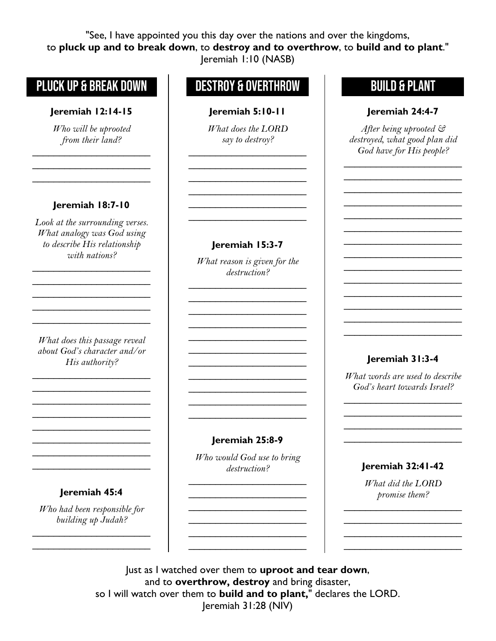"See, I have appointed you this day over the nations and over the kingdoms, to **pluck up and to break down**, to **destroy and to overthrow**, to **build and to plant**." [Jeremiah 1:10](https://biblehub.com/jeremiah/1-10.htm) (NASB)

## PLUCK UP & BREAK DOWN

### **[Jeremiah 12:14-](https://www.biblegateway.com/passage/?search=Jeremiah+12:14&version=NASB)15**

*Who will be uprooted from their land?*

\_\_\_\_\_\_\_\_\_\_\_\_\_\_\_\_\_\_\_\_\_\_  $\overline{\phantom{a}}$  , and the set of the set of the set of the set of the set of the set of the set of the set of the set of the set of the set of the set of the set of the set of the set of the set of the set of the set of the s  $\overline{\phantom{a}}$  , where  $\overline{\phantom{a}}$  , where  $\overline{\phantom{a}}$ 

### **[Jeremiah 18:7-](https://biblehub.com/jeremiah/18-7.htm)10**

*Look at the surrounding verses. What analogy was God using to describe His relationship with nations?*

 $\overline{\phantom{a}}$  , and the set of the set of the set of the set of the set of the set of the set of the set of the set of the set of the set of the set of the set of the set of the set of the set of the set of the set of the s  $\overline{\phantom{a}}$  , and the set of the set of the set of the set of the set of the set of the set of the set of the set of the set of the set of the set of the set of the set of the set of the set of the set of the set of the s  $\overline{\phantom{a}}$  , and the set of the set of the set of the set of the set of the set of the set of the set of the set of the set of the set of the set of the set of the set of the set of the set of the set of the set of the s  $\overline{\phantom{a}}$  , and the set of the set of the set of the set of the set of the set of the set of the set of the set of the set of the set of the set of the set of the set of the set of the set of the set of the set of the s  $\overline{\phantom{a}}$  , and the set of the set of the set of the set of the set of the set of the set of the set of the set of the set of the set of the set of the set of the set of the set of the set of the set of the set of the s

*What does this passage reveal about God's character and/or His authority?*

 $\overline{\phantom{a}}$  , and the set of the set of the set of the set of the set of the set of the set of the set of the set of the set of the set of the set of the set of the set of the set of the set of the set of the set of the s  $\overline{\phantom{a}}$  , and the set of the set of the set of the set of the set of the set of the set of the set of the set of the set of the set of the set of the set of the set of the set of the set of the set of the set of the s  $\overline{\phantom{a}}$  , where  $\overline{\phantom{a}}$  , where  $\overline{\phantom{a}}$  $\overline{\phantom{a}}$  , and the set of the set of the set of the set of the set of the set of the set of the set of the set of the set of the set of the set of the set of the set of the set of the set of the set of the set of the s \_\_\_\_\_\_\_\_\_\_\_\_\_\_\_\_\_\_\_\_\_\_  $\overline{\phantom{a}}$  , where  $\overline{\phantom{a}}$  , where  $\overline{\phantom{a}}$  , where  $\overline{\phantom{a}}$ \_\_\_\_\_\_\_\_\_\_\_\_\_\_\_\_\_\_\_\_\_\_ \_\_\_\_\_\_\_\_\_\_\_\_\_\_\_\_\_\_\_\_\_\_

**[Jeremiah 45:4](https://www.biblegateway.com/passage/?search=Jeremiah+19:11&version=NASB)**

*Who had been responsible for building up Judah?*

 $\overline{\phantom{a}}$  , where  $\overline{\phantom{a}}$  , where  $\overline{\phantom{a}}$  , where  $\overline{\phantom{a}}$  $\overline{\phantom{a}}$  , and the set of the set of the set of the set of the set of the set of the set of the set of the set of the set of the set of the set of the set of the set of the set of the set of the set of the set of the s

# **DESTROY & OVERTHROW**

#### **[Jeremiah 5](https://www.biblegateway.com/passage/?search=Jeremiah+12:14&version=NASB):10-11**

*What does the LORD say to destroy?*

 $\overline{\phantom{a}}$  , where  $\overline{\phantom{a}}$  , where  $\overline{\phantom{a}}$ \_\_\_\_\_\_\_\_\_\_\_\_\_\_\_\_\_\_\_\_\_\_ \_\_\_\_\_\_\_\_\_\_\_\_\_\_\_\_\_\_\_\_\_\_ \_\_\_\_\_\_\_\_\_\_\_\_\_\_\_\_\_\_\_\_\_\_  $\overline{\phantom{a}}$  , and the set of the set of the set of the set of the set of the set of the set of the set of the set of the set of the set of the set of the set of the set of the set of the set of the set of the set of the s \_\_\_\_\_\_\_\_\_\_\_\_\_\_\_\_\_\_\_\_\_\_

#### **[Jeremiah 1](https://www.biblegateway.com/passage/?search=Jeremiah+12:14&version=NASB)5:3-7**

*What reason is given for the destruction?*

\_\_\_\_\_\_\_\_\_\_\_\_\_\_\_\_\_\_\_\_\_\_  $\overline{\phantom{a}}$  , and the set of the set of the set of the set of the set of the set of the set of the set of the set of the set of the set of the set of the set of the set of the set of the set of the set of the set of the s \_\_\_\_\_\_\_\_\_\_\_\_\_\_\_\_\_\_\_\_\_\_  $\overline{\phantom{a}}$  , and the set of the set of the set of the set of the set of the set of the set of the set of the set of the set of the set of the set of the set of the set of the set of the set of the set of the set of the s \_\_\_\_\_\_\_\_\_\_\_\_\_\_\_\_\_\_\_\_\_\_  $\overline{\phantom{a}}$  , where  $\overline{\phantom{a}}$  , where  $\overline{\phantom{a}}$  , where  $\overline{\phantom{a}}$  $\overline{\phantom{a}}$  , and the set of the set of the set of the set of the set of the set of the set of the set of the set of the set of the set of the set of the set of the set of the set of the set of the set of the set of the s  $\overline{\phantom{a}}$  , and the set of the set of the set of the set of the set of the set of the set of the set of the set of the set of the set of the set of the set of the set of the set of the set of the set of the set of the s  $\overline{\phantom{a}}$  , where  $\overline{\phantom{a}}$  , where  $\overline{\phantom{a}}$  , where  $\overline{\phantom{a}}$ \_\_\_\_\_\_\_\_\_\_\_\_\_\_\_\_\_\_\_\_\_\_ \_\_\_\_\_\_\_\_\_\_\_\_\_\_\_\_\_\_\_\_\_\_

#### **[Jeremiah 2](https://www.biblegateway.com/passage/?search=Jeremiah+12:14&version=NASB)5:8-9**

*Who would God use to bring destruction?*

# **BUILD & PLANT**

#### **[Jeremiah 2](https://www.biblegateway.com/passage/?search=Jeremiah+12:14&version=NASB)4:4-7**

*After being uprooted & destroyed, what good plan did God have for His people?*

\_\_\_\_\_\_\_\_\_\_\_\_\_\_\_\_\_\_\_\_\_\_  $\overline{\phantom{a}}$  , where  $\overline{\phantom{a}}$ \_\_\_\_\_\_\_\_\_\_\_\_\_\_\_\_\_\_\_\_\_\_ \_\_\_\_\_\_\_\_\_\_\_\_\_\_\_\_\_\_\_\_\_\_ \_\_\_\_\_\_\_\_\_\_\_\_\_\_\_\_\_\_\_\_\_\_  $\overline{\phantom{a}}$  , where  $\overline{\phantom{a}}$ \_\_\_\_\_\_\_\_\_\_\_\_\_\_\_\_\_\_\_\_\_\_ \_\_\_\_\_\_\_\_\_\_\_\_\_\_\_\_\_\_\_\_\_\_  $\overline{\phantom{a}}$  , where  $\overline{\phantom{a}}$ \_\_\_\_\_\_\_\_\_\_\_\_\_\_\_\_\_\_\_\_\_\_ \_\_\_\_\_\_\_\_\_\_\_\_\_\_\_\_\_\_\_\_\_\_  $\overline{\phantom{a}}$  , where  $\overline{\phantom{a}}$ \_\_\_\_\_\_\_\_\_\_\_\_\_\_\_\_\_\_\_\_\_\_ \_\_\_\_\_\_\_\_\_\_\_\_\_\_\_\_\_\_\_\_\_\_

### **[Jeremiah 3](https://www.biblegateway.com/passage/?search=Jeremiah+12:14&version=NASB)1:3-4**

*What words are used to describe God's heart towards Israel?*

\_\_\_\_\_\_\_\_\_\_\_\_\_\_\_\_\_\_\_\_\_\_  $\overline{\phantom{a}}$  , where  $\overline{\phantom{a}}$ \_\_\_\_\_\_\_\_\_\_\_\_\_\_\_\_\_\_\_\_\_\_ \_\_\_\_\_\_\_\_\_\_\_\_\_\_\_\_\_\_\_\_\_\_

\_\_\_\_\_\_\_\_\_\_\_\_\_\_\_\_\_\_\_\_\_\_

\_\_\_\_\_\_\_\_\_\_\_\_\_\_\_\_\_\_\_\_\_\_  $\overline{\phantom{a}}$  , and the set of the set of the set of the set of the set of the set of the set of the set of the set of the set of the set of the set of the set of the set of the set of the set of the set of the set of the s \_\_\_\_\_\_\_\_\_\_\_\_\_\_\_\_\_\_\_\_\_\_  $\overline{\phantom{a}}$  , and the set of the set of the set of the set of the set of the set of the set of the set of the set of the set of the set of the set of the set of the set of the set of the set of the set of the set of the s \_\_\_\_\_\_\_\_\_\_\_\_\_\_\_\_\_\_\_\_\_\_ **[Jeremiah 3](https://www.biblegateway.com/passage/?search=Jeremiah+12:14&version=NASB)2:41-42**

*What did the LORD promise them?*

\_\_\_\_\_\_\_\_\_\_\_\_\_\_\_\_\_\_\_\_\_\_ \_\_\_\_\_\_\_\_\_\_\_\_\_\_\_\_\_\_\_\_\_\_ \_\_\_\_\_\_\_\_\_\_\_\_\_\_\_\_\_\_\_\_\_\_ \_\_\_\_\_\_\_\_\_\_\_\_\_\_\_\_\_\_\_\_\_\_

Just as I watched over them to **uproot and tear down**, and to **overthrow, destroy** and bring disaster, so I will watch over them to **build and to plant,**" declares the LORD. [Jeremiah 31:28](https://biblehub.com/jeremiah/31-28.htm) (NIV)